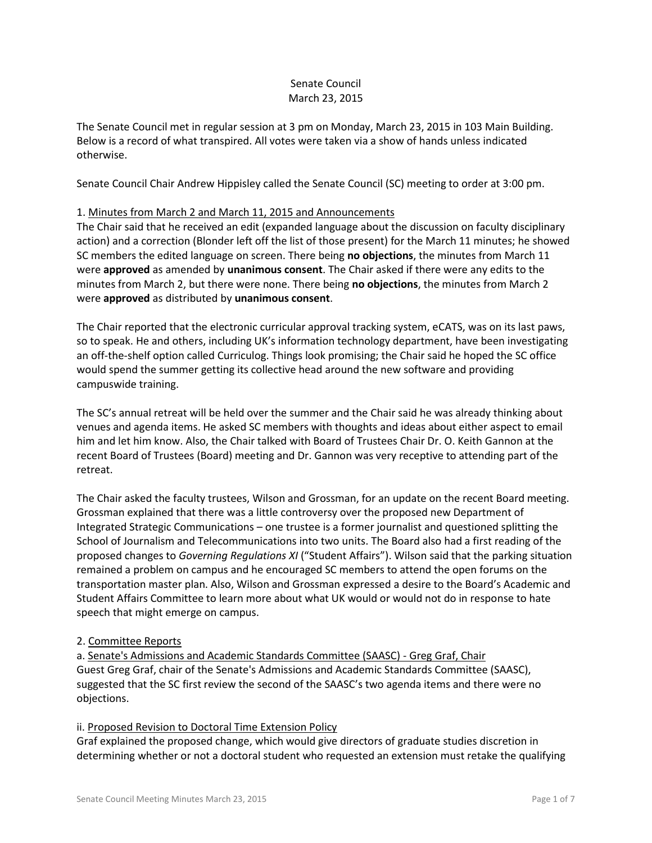## Senate Council March 23, 2015

The Senate Council met in regular session at 3 pm on Monday, March 23, 2015 in 103 Main Building. Below is a record of what transpired. All votes were taken via a show of hands unless indicated otherwise.

Senate Council Chair Andrew Hippisley called the Senate Council (SC) meeting to order at 3:00 pm.

## 1. Minutes from March 2 and March 11, 2015 and Announcements

The Chair said that he received an edit (expanded language about the discussion on faculty disciplinary action) and a correction (Blonder left off the list of those present) for the March 11 minutes; he showed SC members the edited language on screen. There being **no objections**, the minutes from March 11 were **approved** as amended by **unanimous consent**. The Chair asked if there were any edits to the minutes from March 2, but there were none. There being **no objections**, the minutes from March 2 were **approved** as distributed by **unanimous consent**.

The Chair reported that the electronic curricular approval tracking system, eCATS, was on its last paws, so to speak. He and others, including UK's information technology department, have been investigating an off-the-shelf option called Curriculog. Things look promising; the Chair said he hoped the SC office would spend the summer getting its collective head around the new software and providing campuswide training.

The SC's annual retreat will be held over the summer and the Chair said he was already thinking about venues and agenda items. He asked SC members with thoughts and ideas about either aspect to email him and let him know. Also, the Chair talked with Board of Trustees Chair Dr. O. Keith Gannon at the recent Board of Trustees (Board) meeting and Dr. Gannon was very receptive to attending part of the retreat.

The Chair asked the faculty trustees, Wilson and Grossman, for an update on the recent Board meeting. Grossman explained that there was a little controversy over the proposed new Department of Integrated Strategic Communications – one trustee is a former journalist and questioned splitting the School of Journalism and Telecommunications into two units. The Board also had a first reading of the proposed changes to *Governing Regulations XI* ("Student Affairs"). Wilson said that the parking situation remained a problem on campus and he encouraged SC members to attend the open forums on the transportation master plan. Also, Wilson and Grossman expressed a desire to the Board's Academic and Student Affairs Committee to learn more about what UK would or would not do in response to hate speech that might emerge on campus.

## 2. Committee Reports

a. Senate's Admissions and Academic Standards Committee (SAASC) - Greg Graf, Chair Guest Greg Graf, chair of the Senate's Admissions and Academic Standards Committee (SAASC), suggested that the SC first review the second of the SAASC's two agenda items and there were no objections.

## ii. Proposed Revision to Doctoral Time Extension Policy

Graf explained the proposed change, which would give directors of graduate studies discretion in determining whether or not a doctoral student who requested an extension must retake the qualifying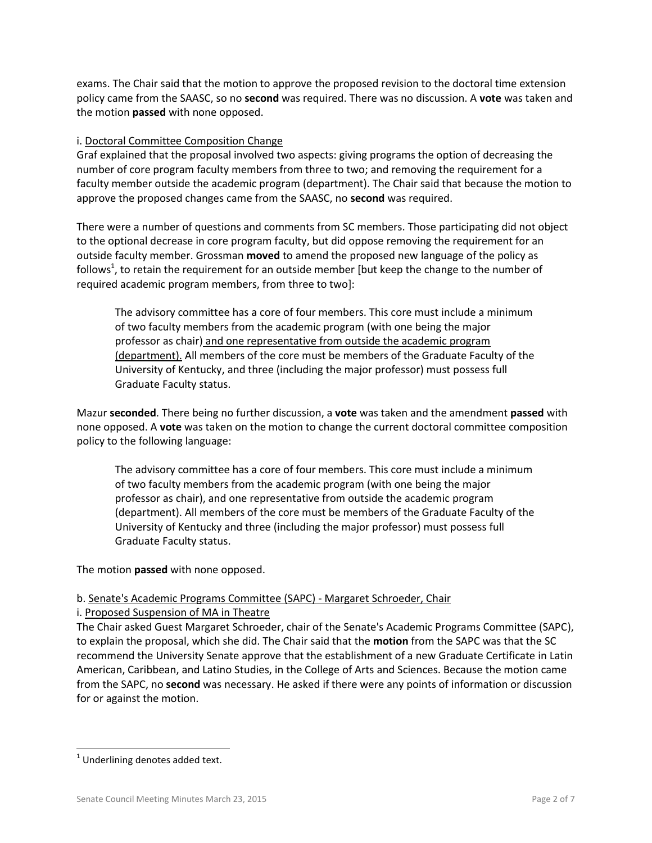exams. The Chair said that the motion to approve the proposed revision to the doctoral time extension policy came from the SAASC, so no **second** was required. There was no discussion. A **vote** was taken and the motion **passed** with none opposed.

## i. Doctoral Committee Composition Change

Graf explained that the proposal involved two aspects: giving programs the option of decreasing the number of core program faculty members from three to two; and removing the requirement for a faculty member outside the academic program (department). The Chair said that because the motion to approve the proposed changes came from the SAASC, no **second** was required.

There were a number of questions and comments from SC members. Those participating did not object to the optional decrease in core program faculty, but did oppose removing the requirement for an outside faculty member. Grossman **moved** to amend the proposed new language of the policy as follows<sup>1</sup>, to retain the requirement for an outside member [but keep the change to the number of required academic program members, from three to two]:

The advisory committee has a core of four members. This core must include a minimum of two faculty members from the academic program (with one being the major professor as chair) and one representative from outside the academic program (department). All members of the core must be members of the Graduate Faculty of the University of Kentucky, and three (including the major professor) must possess full Graduate Faculty status.

Mazur **seconded**. There being no further discussion, a **vote** was taken and the amendment **passed** with none opposed. A **vote** was taken on the motion to change the current doctoral committee composition policy to the following language:

The advisory committee has a core of four members. This core must include a minimum of two faculty members from the academic program (with one being the major professor as chair), and one representative from outside the academic program (department). All members of the core must be members of the Graduate Faculty of the University of Kentucky and three (including the major professor) must possess full Graduate Faculty status.

The motion **passed** with none opposed.

# b. Senate's Academic Programs Committee (SAPC) - Margaret Schroeder, Chair

i. Proposed Suspension of MA in Theatre

The Chair asked Guest Margaret Schroeder, chair of the Senate's Academic Programs Committee (SAPC), to explain the proposal, which she did. The Chair said that the **motion** from the SAPC was that the SC recommend the University Senate approve that the establishment of a new Graduate Certificate in Latin American, Caribbean, and Latino Studies, in the College of Arts and Sciences. Because the motion came from the SAPC, no **second** was necessary. He asked if there were any points of information or discussion for or against the motion.

l

 $1$  Underlining denotes added text.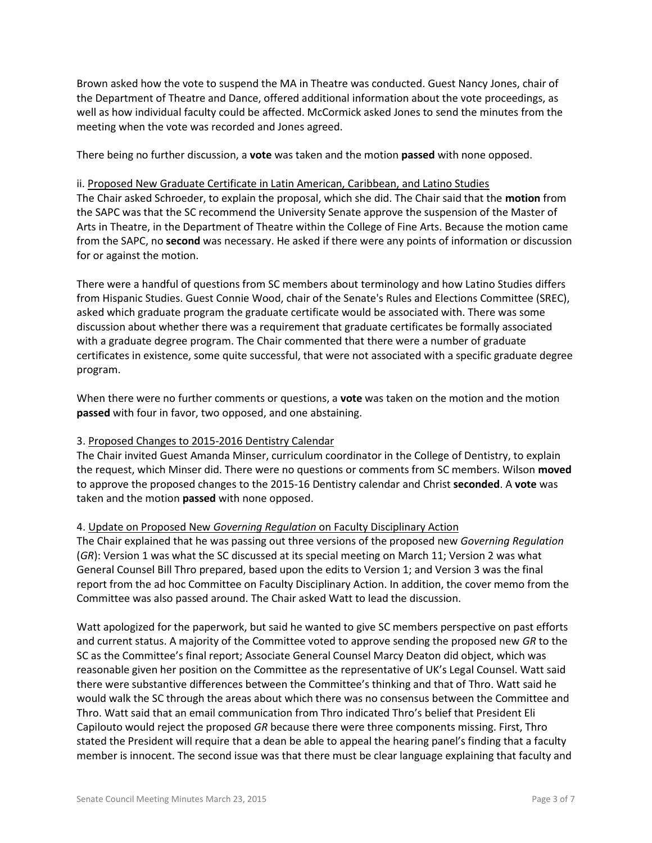Brown asked how the vote to suspend the MA in Theatre was conducted. Guest Nancy Jones, chair of the Department of Theatre and Dance, offered additional information about the vote proceedings, as well as how individual faculty could be affected. McCormick asked Jones to send the minutes from the meeting when the vote was recorded and Jones agreed.

There being no further discussion, a **vote** was taken and the motion **passed** with none opposed.

#### ii. Proposed New Graduate Certificate in Latin American, Caribbean, and Latino Studies

The Chair asked Schroeder, to explain the proposal, which she did. The Chair said that the **motion** from the SAPC was that the SC recommend the University Senate approve the suspension of the Master of Arts in Theatre, in the Department of Theatre within the College of Fine Arts. Because the motion came from the SAPC, no **second** was necessary. He asked if there were any points of information or discussion for or against the motion.

There were a handful of questions from SC members about terminology and how Latino Studies differs from Hispanic Studies. Guest Connie Wood, chair of the Senate's Rules and Elections Committee (SREC), asked which graduate program the graduate certificate would be associated with. There was some discussion about whether there was a requirement that graduate certificates be formally associated with a graduate degree program. The Chair commented that there were a number of graduate certificates in existence, some quite successful, that were not associated with a specific graduate degree program.

When there were no further comments or questions, a **vote** was taken on the motion and the motion **passed** with four in favor, two opposed, and one abstaining.

## 3. Proposed Changes to 2015-2016 Dentistry Calendar

The Chair invited Guest Amanda Minser, curriculum coordinator in the College of Dentistry, to explain the request, which Minser did. There were no questions or comments from SC members. Wilson **moved** to approve the proposed changes to the 2015-16 Dentistry calendar and Christ **seconded**. A **vote** was taken and the motion **passed** with none opposed.

## 4. Update on Proposed New *Governing Regulation* on Faculty Disciplinary Action

The Chair explained that he was passing out three versions of the proposed new *Governing Regulation* (*GR*): Version 1 was what the SC discussed at its special meeting on March 11; Version 2 was what General Counsel Bill Thro prepared, based upon the edits to Version 1; and Version 3 was the final report from the ad hoc Committee on Faculty Disciplinary Action. In addition, the cover memo from the Committee was also passed around. The Chair asked Watt to lead the discussion.

Watt apologized for the paperwork, but said he wanted to give SC members perspective on past efforts and current status. A majority of the Committee voted to approve sending the proposed new *GR* to the SC as the Committee's final report; Associate General Counsel Marcy Deaton did object, which was reasonable given her position on the Committee as the representative of UK's Legal Counsel. Watt said there were substantive differences between the Committee's thinking and that of Thro. Watt said he would walk the SC through the areas about which there was no consensus between the Committee and Thro. Watt said that an email communication from Thro indicated Thro's belief that President Eli Capilouto would reject the proposed *GR* because there were three components missing. First, Thro stated the President will require that a dean be able to appeal the hearing panel's finding that a faculty member is innocent. The second issue was that there must be clear language explaining that faculty and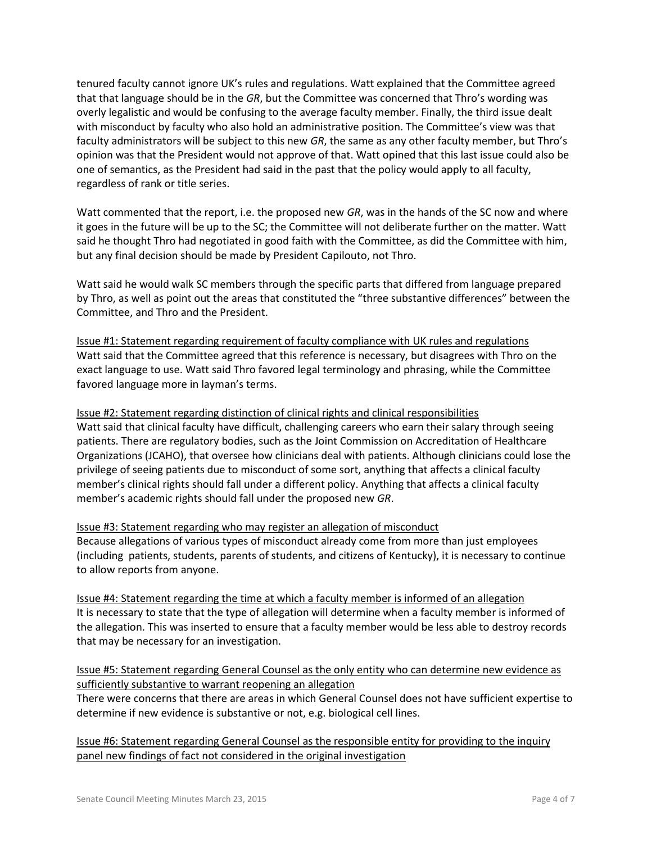tenured faculty cannot ignore UK's rules and regulations. Watt explained that the Committee agreed that that language should be in the *GR*, but the Committee was concerned that Thro's wording was overly legalistic and would be confusing to the average faculty member. Finally, the third issue dealt with misconduct by faculty who also hold an administrative position. The Committee's view was that faculty administrators will be subject to this new *GR*, the same as any other faculty member, but Thro's opinion was that the President would not approve of that. Watt opined that this last issue could also be one of semantics, as the President had said in the past that the policy would apply to all faculty, regardless of rank or title series.

Watt commented that the report, i.e. the proposed new *GR*, was in the hands of the SC now and where it goes in the future will be up to the SC; the Committee will not deliberate further on the matter. Watt said he thought Thro had negotiated in good faith with the Committee, as did the Committee with him, but any final decision should be made by President Capilouto, not Thro.

Watt said he would walk SC members through the specific parts that differed from language prepared by Thro, as well as point out the areas that constituted the "three substantive differences" between the Committee, and Thro and the President.

Issue #1: Statement regarding requirement of faculty compliance with UK rules and regulations Watt said that the Committee agreed that this reference is necessary, but disagrees with Thro on the exact language to use. Watt said Thro favored legal terminology and phrasing, while the Committee favored language more in layman's terms.

Issue #2: Statement regarding distinction of clinical rights and clinical responsibilities

Watt said that clinical faculty have difficult, challenging careers who earn their salary through seeing patients. There are regulatory bodies, such as the Joint Commission on Accreditation of Healthcare Organizations (JCAHO), that oversee how clinicians deal with patients. Although clinicians could lose the privilege of seeing patients due to misconduct of some sort, anything that affects a clinical faculty member's clinical rights should fall under a different policy. Anything that affects a clinical faculty member's academic rights should fall under the proposed new *GR*.

Issue #3: Statement regarding who may register an allegation of misconduct Because allegations of various types of misconduct already come from more than just employees (including patients, students, parents of students, and citizens of Kentucky), it is necessary to continue to allow reports from anyone.

Issue #4: Statement regarding the time at which a faculty member is informed of an allegation It is necessary to state that the type of allegation will determine when a faculty member is informed of the allegation. This was inserted to ensure that a faculty member would be less able to destroy records that may be necessary for an investigation.

Issue #5: Statement regarding General Counsel as the only entity who can determine new evidence as sufficiently substantive to warrant reopening an allegation

There were concerns that there are areas in which General Counsel does not have sufficient expertise to determine if new evidence is substantive or not, e.g. biological cell lines.

Issue #6: Statement regarding General Counsel as the responsible entity for providing to the inquiry panel new findings of fact not considered in the original investigation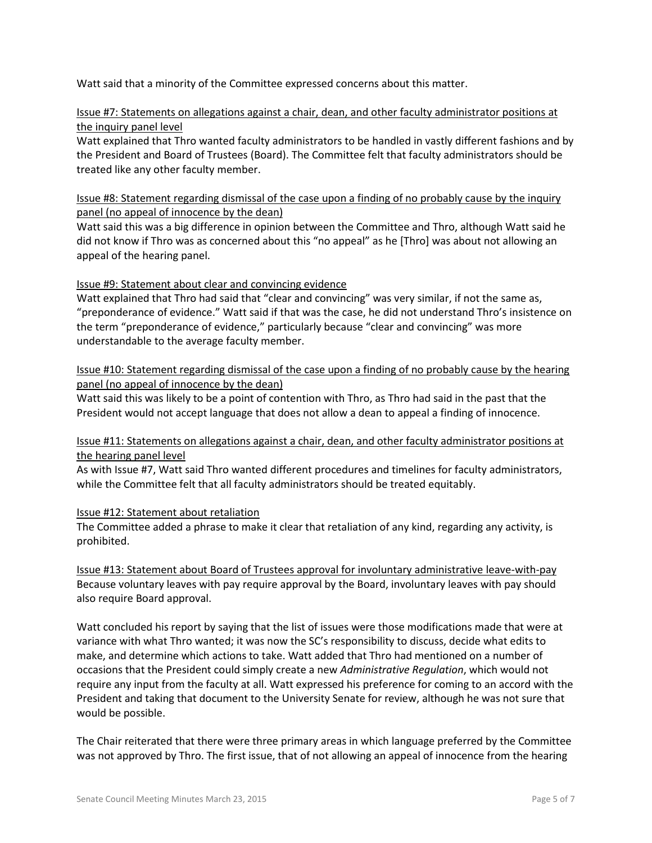Watt said that a minority of the Committee expressed concerns about this matter.

## Issue #7: Statements on allegations against a chair, dean, and other faculty administrator positions at the inquiry panel level

Watt explained that Thro wanted faculty administrators to be handled in vastly different fashions and by the President and Board of Trustees (Board). The Committee felt that faculty administrators should be treated like any other faculty member.

Issue #8: Statement regarding dismissal of the case upon a finding of no probably cause by the inquiry panel (no appeal of innocence by the dean)

Watt said this was a big difference in opinion between the Committee and Thro, although Watt said he did not know if Thro was as concerned about this "no appeal" as he [Thro] was about not allowing an appeal of the hearing panel.

# Issue #9: Statement about clear and convincing evidence

Watt explained that Thro had said that "clear and convincing" was very similar, if not the same as, "preponderance of evidence." Watt said if that was the case, he did not understand Thro's insistence on the term "preponderance of evidence," particularly because "clear and convincing" was more understandable to the average faculty member.

Issue #10: Statement regarding dismissal of the case upon a finding of no probably cause by the hearing panel (no appeal of innocence by the dean)

Watt said this was likely to be a point of contention with Thro, as Thro had said in the past that the President would not accept language that does not allow a dean to appeal a finding of innocence.

# Issue #11: Statements on allegations against a chair, dean, and other faculty administrator positions at the hearing panel level

As with Issue #7, Watt said Thro wanted different procedures and timelines for faculty administrators, while the Committee felt that all faculty administrators should be treated equitably.

## Issue #12: Statement about retaliation

The Committee added a phrase to make it clear that retaliation of any kind, regarding any activity, is prohibited.

Issue #13: Statement about Board of Trustees approval for involuntary administrative leave-with-pay Because voluntary leaves with pay require approval by the Board, involuntary leaves with pay should also require Board approval.

Watt concluded his report by saying that the list of issues were those modifications made that were at variance with what Thro wanted; it was now the SC's responsibility to discuss, decide what edits to make, and determine which actions to take. Watt added that Thro had mentioned on a number of occasions that the President could simply create a new *Administrative Regulation*, which would not require any input from the faculty at all. Watt expressed his preference for coming to an accord with the President and taking that document to the University Senate for review, although he was not sure that would be possible.

The Chair reiterated that there were three primary areas in which language preferred by the Committee was not approved by Thro. The first issue, that of not allowing an appeal of innocence from the hearing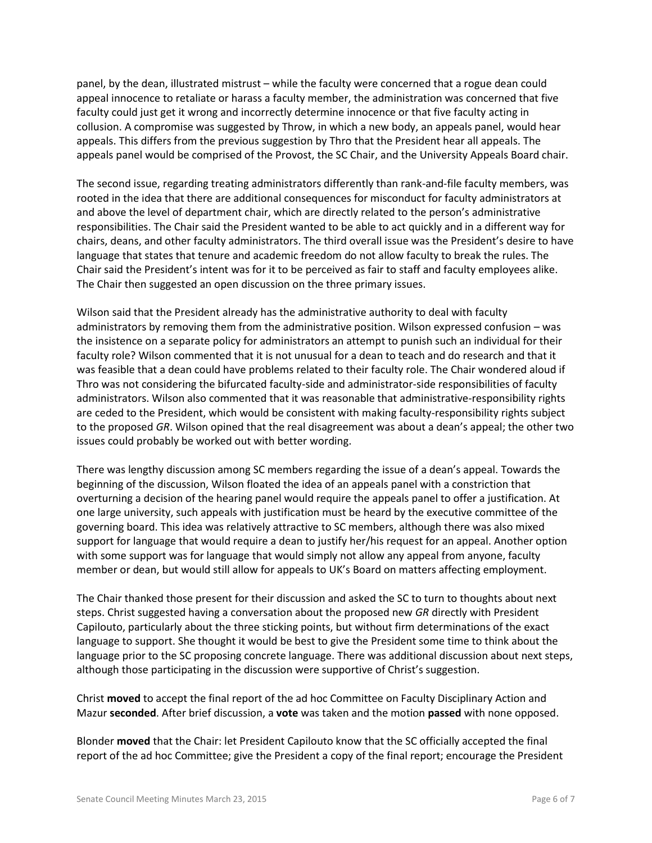panel, by the dean, illustrated mistrust – while the faculty were concerned that a rogue dean could appeal innocence to retaliate or harass a faculty member, the administration was concerned that five faculty could just get it wrong and incorrectly determine innocence or that five faculty acting in collusion. A compromise was suggested by Throw, in which a new body, an appeals panel, would hear appeals. This differs from the previous suggestion by Thro that the President hear all appeals. The appeals panel would be comprised of the Provost, the SC Chair, and the University Appeals Board chair.

The second issue, regarding treating administrators differently than rank-and-file faculty members, was rooted in the idea that there are additional consequences for misconduct for faculty administrators at and above the level of department chair, which are directly related to the person's administrative responsibilities. The Chair said the President wanted to be able to act quickly and in a different way for chairs, deans, and other faculty administrators. The third overall issue was the President's desire to have language that states that tenure and academic freedom do not allow faculty to break the rules. The Chair said the President's intent was for it to be perceived as fair to staff and faculty employees alike. The Chair then suggested an open discussion on the three primary issues.

Wilson said that the President already has the administrative authority to deal with faculty administrators by removing them from the administrative position. Wilson expressed confusion – was the insistence on a separate policy for administrators an attempt to punish such an individual for their faculty role? Wilson commented that it is not unusual for a dean to teach and do research and that it was feasible that a dean could have problems related to their faculty role. The Chair wondered aloud if Thro was not considering the bifurcated faculty-side and administrator-side responsibilities of faculty administrators. Wilson also commented that it was reasonable that administrative-responsibility rights are ceded to the President, which would be consistent with making faculty-responsibility rights subject to the proposed *GR*. Wilson opined that the real disagreement was about a dean's appeal; the other two issues could probably be worked out with better wording.

There was lengthy discussion among SC members regarding the issue of a dean's appeal. Towards the beginning of the discussion, Wilson floated the idea of an appeals panel with a constriction that overturning a decision of the hearing panel would require the appeals panel to offer a justification. At one large university, such appeals with justification must be heard by the executive committee of the governing board. This idea was relatively attractive to SC members, although there was also mixed support for language that would require a dean to justify her/his request for an appeal. Another option with some support was for language that would simply not allow any appeal from anyone, faculty member or dean, but would still allow for appeals to UK's Board on matters affecting employment.

The Chair thanked those present for their discussion and asked the SC to turn to thoughts about next steps. Christ suggested having a conversation about the proposed new *GR* directly with President Capilouto, particularly about the three sticking points, but without firm determinations of the exact language to support. She thought it would be best to give the President some time to think about the language prior to the SC proposing concrete language. There was additional discussion about next steps, although those participating in the discussion were supportive of Christ's suggestion.

Christ **moved** to accept the final report of the ad hoc Committee on Faculty Disciplinary Action and Mazur **seconded**. After brief discussion, a **vote** was taken and the motion **passed** with none opposed.

Blonder **moved** that the Chair: let President Capilouto know that the SC officially accepted the final report of the ad hoc Committee; give the President a copy of the final report; encourage the President